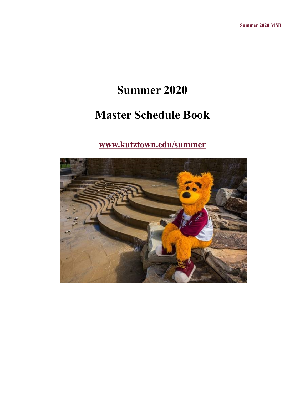# **Summer 2020**

# **Master Schedule Book**

## **[www.kutztown.edu/summer](file:///C:/Users/walton/Documents/Baby)**

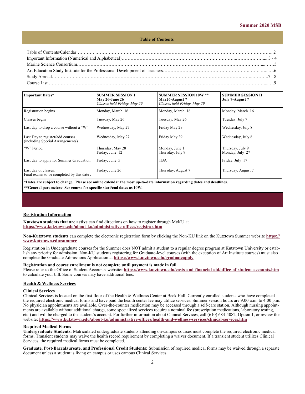#### **Table of Contents**

<span id="page-1-0"></span>

| 8 - 7 - 8 - 7 - 8 - 7 - 8 - 7 - 8 - 7 - 8 - 7 - 8 - 7 - 8 - 7 - 8 - 7 - 8 - 7 - 8 - 7 - 8 - 7 - 8 - 7 - 8 - 7 - 8 - 7 - 8 - 7 - 8 - 7 - 8 - 7 - 8 - 7 - 8 - 7 - 8 - 7 - 8 - 7 - 8 - 7 - 8 - 7 - 8 - 7 - 8 - 7 - 8 - 7 - 8 - 7 |  |
|-------------------------------------------------------------------------------------------------------------------------------------------------------------------------------------------------------------------------------|--|
|                                                                                                                                                                                                                               |  |

| <b>Important Dates*</b>                                              | <b>SUMMER SESSION I</b><br><b>May 26-June 26</b><br>Classes held Friday, May 29 | <b>SUMMER SESSION 10W **</b><br>May26-August 7<br>Classes held Friday, May 29 | <b>SUMMER SESSION II</b><br>July 7-August 7 |
|----------------------------------------------------------------------|---------------------------------------------------------------------------------|-------------------------------------------------------------------------------|---------------------------------------------|
| Registration begins                                                  | Monday, March 16                                                                | Monday, March 16                                                              | Monday, March 16                            |
| Classes begin                                                        | Tuesday, May 26                                                                 | Tuesday, May 26                                                               | Tuesday, July 7                             |
| Last day to drop a course without a "W"                              | Wednesday, May 27                                                               | Friday May 29                                                                 | Wednesday, July 8                           |
| Last Day to register/add courses<br>(including Special Arrangements) | Wednesday, May 27                                                               | Friday May 29                                                                 | Wednesday, July 8                           |
| "W" Period                                                           | Thursday, May 28<br>Friday, June 12                                             | Monday, June 1<br>Thursday, July 9                                            | Thursday, July 9<br>Monday, July 27         |
| Last day to apply for Summer Graduation                              | Friday, June 5                                                                  | <b>TBA</b>                                                                    | Friday, July 17                             |
| Last day of classes.<br>Final exams to be completed by this date.    | Friday, June 26                                                                 | Thursday, August 7                                                            | Thursday, August 7                          |

**\*Dates are subject to change. Please see online calendar the most up-to-date information regarding dates and deadlines. \*\*General parameters- See course for specific start/end dates as 10W.**

#### **Registration Information**

**Kutztown students that are active** can find directions on how to register through MyKU at **[https://www.kutztown.edu/about](#page-1-0)-ku/administrative-offices/registrar.htm**

**Non-Kutztown students** can complete the electronic registration form by clicking the Non-KU link on the Kutztown Summer website **[https://](#page-1-0) [www.kutztown.edu/summer](#page-1-0)**

Registration in Undergraduate courses for the Summer does NOT admit a student to a regular degree program at Kutztown University or establish any priority for admission. Non-KU students registering for Graduate-level courses (with the exception of Art Institute courses) must also complete the Graduate Admissions Application at **[https://www.kutztown.edu/graduateapply](#page-1-0)**

#### **Registration and course enrollment is not complete until payment is made in full.**

Please refer to the Office of Student Accounts' website: [https://www.kutztown.edu/costs](#page-1-0)-and-financial-aid/office-of-student-accounts.htm to calculate your bill. Some courses may have additional fees.

#### **Health & Wellness Services**

#### **Clinical Services**

Clinical Services is located on the first floor of the Health & Wellness Center at Beck Hall. Currently enrolled students who have completed the required electronic medical forms and have paid the health center fee may utilize services. Summer session hours are 9:00 a.m. to 4:00 p.m. No physician appointments are available. Over-the-counter medication may be accessed through a self-care station. Although nursing appointments are available without additional charge, some specialized services require a nominal fee (prescription medications, laboratory testing, etc.) and will be charged to the student's account. For further information about Clinical Services, call (610) 683-4082, Option 1, or review the website: **[https://www.kutztown.edu/about](https://www.kutztown.edu/about-ku/administrative-offices/health-and-wellness-services/clinical-services.htm)-ku/administrative-offices/health-and-wellness-services/clinical-services.htm**

#### **Required Medical Forms**

**Undergraduate Students:** Matriculated undergraduate students attending on-campus courses must complete the required electronic medical forms. Transient students may waive the health record requirement by completing a waiver document. If a transient student utilizes Clinical Services, the required medical forms must be completed.

**Graduate, Post-Baccalaureate, and Professional Credit Students:** Submission of required medical forms may be waived through a separate document unless a student is living on campus or uses campus Clinical Services.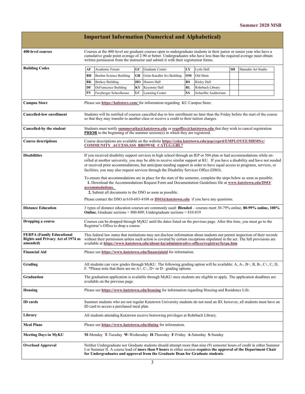|                                                                                          |                                                                                                                                                                                                                                                                                                                                                                                                                                                                                                                                                                                                                                                                                                                                      |                                                                                                                                                                                                                          |     | <b>Important Information (Numerical and Alphabetical)</b>                                                                                                                                            |           |                      |    |                                                                                                                         |
|------------------------------------------------------------------------------------------|--------------------------------------------------------------------------------------------------------------------------------------------------------------------------------------------------------------------------------------------------------------------------------------------------------------------------------------------------------------------------------------------------------------------------------------------------------------------------------------------------------------------------------------------------------------------------------------------------------------------------------------------------------------------------------------------------------------------------------------|--------------------------------------------------------------------------------------------------------------------------------------------------------------------------------------------------------------------------|-----|------------------------------------------------------------------------------------------------------------------------------------------------------------------------------------------------------|-----------|----------------------|----|-------------------------------------------------------------------------------------------------------------------------|
| 400-level courses                                                                        | Courses at the 400-level are graduate courses open to undergraduate students in their junior or senior year who have a<br>cumulative grade point average of 2.90 or better. Undergraduates who have less than the required average must obtain<br>written permission from the instructor and submit it with their registration forms.                                                                                                                                                                                                                                                                                                                                                                                                |                                                                                                                                                                                                                          |     |                                                                                                                                                                                                      |           |                      |    |                                                                                                                         |
| <b>Building Codes</b>                                                                    | AF                                                                                                                                                                                                                                                                                                                                                                                                                                                                                                                                                                                                                                                                                                                                   | Academic Forum                                                                                                                                                                                                           | GC. | Graduate Center                                                                                                                                                                                      | LY        | Lytle Hall           | SН | Sharadin Art Studio                                                                                                     |
|                                                                                          | BH                                                                                                                                                                                                                                                                                                                                                                                                                                                                                                                                                                                                                                                                                                                                   | Boehm Science Building                                                                                                                                                                                                   | GR  | Grim-Knedler Sci Building                                                                                                                                                                            | OM        | Old Main             |    |                                                                                                                         |
|                                                                                          | BК                                                                                                                                                                                                                                                                                                                                                                                                                                                                                                                                                                                                                                                                                                                                   | Beekey Building                                                                                                                                                                                                          | HO  | Honors Hall                                                                                                                                                                                          | RS        | Risley Hall          |    |                                                                                                                         |
|                                                                                          | DF                                                                                                                                                                                                                                                                                                                                                                                                                                                                                                                                                                                                                                                                                                                                   | DeFrancesco Building                                                                                                                                                                                                     | KY  | Keystone Hall                                                                                                                                                                                        | RL        | Rohrbach Library     |    |                                                                                                                         |
|                                                                                          | FS                                                                                                                                                                                                                                                                                                                                                                                                                                                                                                                                                                                                                                                                                                                                   | Freyberger Schoolhouse                                                                                                                                                                                                   | LC  | Learning Center                                                                                                                                                                                      | <b>SA</b> | Schaeffer Auditorium |    |                                                                                                                         |
| <b>Campus Store</b>                                                                      |                                                                                                                                                                                                                                                                                                                                                                                                                                                                                                                                                                                                                                                                                                                                      | Please see https://kubstore.com/ for information regarding KU Campus Store.                                                                                                                                              |     |                                                                                                                                                                                                      |           |                      |    |                                                                                                                         |
| <b>Cancelled-low enrollment</b>                                                          |                                                                                                                                                                                                                                                                                                                                                                                                                                                                                                                                                                                                                                                                                                                                      | Students will be notified of courses cancelled due to low enrollment no later than the Friday before the start of the course<br>so that they may transfer to another class or receive a credit to their tuition charges. |     |                                                                                                                                                                                                      |           |                      |    |                                                                                                                         |
| Cancelled-by the student                                                                 |                                                                                                                                                                                                                                                                                                                                                                                                                                                                                                                                                                                                                                                                                                                                      |                                                                                                                                                                                                                          |     | Students must notify summeratku@kutztown.edu or regoffice@kutztown.edu that they wish to cancel registration<br><b>PRIOR</b> to the beginning of the summer session(s) in which they are registered. |           |                      |    |                                                                                                                         |
| <b>Course descriptions</b>                                                               | Course descriptions are available on the website https://csku.kutztown.edu/psp/csprd/EMPLOYEE/HRMS/c/<br><b>COMMUNITY_ACCESS.SSS_BROWSE_CATLG.GBL?</b>                                                                                                                                                                                                                                                                                                                                                                                                                                                                                                                                                                               |                                                                                                                                                                                                                          |     |                                                                                                                                                                                                      |           |                      |    |                                                                                                                         |
| <b>Disabilities</b>                                                                      | If you received disability support services in high school through an IEP or 504 plan or had accommodations while en-<br>rolled at another university, you may be able to receive similar support at KU. If you have a disability and have not needed<br>or received prior accommodations, but anticipate needing support in order to have equal access to programs, services, or<br>facilities, you may also request services through the Disability Services Office (DSO).<br>To ensure that accommodations are in place for the start of the semester, complete the steps below as soon as possible.<br>1. Download the Accommodations Request Form and Documentation Guidelines file at www.kutztown.edu/DSO/<br>accommodations. |                                                                                                                                                                                                                          |     |                                                                                                                                                                                                      |           |                      |    |                                                                                                                         |
|                                                                                          |                                                                                                                                                                                                                                                                                                                                                                                                                                                                                                                                                                                                                                                                                                                                      | 2. Submit all documents to the DSO as soon as possible.<br>Please contact the DSO at 610-683-4108 or $DSO(\alpha)$ kutztown.edu if you have any questions.                                                               |     |                                                                                                                                                                                                      |           |                      |    |                                                                                                                         |
| <b>Distance Education</b>                                                                | 3 types of distance education courses are commonly used: Blended – courses meet 30-79% online, 80-99% online, 100%<br><b>Online.</b> Graduate sections = $800-809$ ; Undergraduate sections = $810-819$                                                                                                                                                                                                                                                                                                                                                                                                                                                                                                                              |                                                                                                                                                                                                                          |     |                                                                                                                                                                                                      |           |                      |    |                                                                                                                         |
| Dropping a course                                                                        | Courses can be dropped through MyKU until the dates listed on the previous page. After this time, you must go to the<br>Registrar's Office to drop a course.                                                                                                                                                                                                                                                                                                                                                                                                                                                                                                                                                                         |                                                                                                                                                                                                                          |     |                                                                                                                                                                                                      |           |                      |    |                                                                                                                         |
| <b>FERPA (Family Educational</b><br><b>Rights and Privacy Act of 1974 as</b><br>amended) | This federal law states that institutions may not disclose information about students nor permit inspection of their records<br>without their permission unless such action is covered by certain exceptions stipulated in the act. The full provisions are<br>available at https://www.kutztown.edu/about-ku/administrative-offices/registrar/ferpa.htm                                                                                                                                                                                                                                                                                                                                                                             |                                                                                                                                                                                                                          |     |                                                                                                                                                                                                      |           |                      |    |                                                                                                                         |
| <b>Financial Aid</b>                                                                     | Please see https://www.kutztown.edu/financialaid for information.                                                                                                                                                                                                                                                                                                                                                                                                                                                                                                                                                                                                                                                                    |                                                                                                                                                                                                                          |     |                                                                                                                                                                                                      |           |                      |    |                                                                                                                         |
| Grading                                                                                  | All students can view grades through MyKU. The following grading option will be available: A, A-, B+, B, B-, C+, C, D,<br>F. *Please note that there are no $A+$ , C-, D+ or D– grading options.                                                                                                                                                                                                                                                                                                                                                                                                                                                                                                                                     |                                                                                                                                                                                                                          |     |                                                                                                                                                                                                      |           |                      |    |                                                                                                                         |
| Graduation                                                                               | The graduation application is available through MyKU once students are eligible to apply. The application deadlines are<br>available on the previous page.                                                                                                                                                                                                                                                                                                                                                                                                                                                                                                                                                                           |                                                                                                                                                                                                                          |     |                                                                                                                                                                                                      |           |                      |    |                                                                                                                         |
| Housing                                                                                  | Please see https://www.kutztown.edu/housing for information regarding Housing and Residence Life.                                                                                                                                                                                                                                                                                                                                                                                                                                                                                                                                                                                                                                    |                                                                                                                                                                                                                          |     |                                                                                                                                                                                                      |           |                      |    |                                                                                                                         |
| ID cards                                                                                 | Summer students who are not regular Kutztown University students do not need an ID; however, all students must have an<br>ID card to access a purchased meal plan.                                                                                                                                                                                                                                                                                                                                                                                                                                                                                                                                                                   |                                                                                                                                                                                                                          |     |                                                                                                                                                                                                      |           |                      |    |                                                                                                                         |
| Library                                                                                  | All students attending Kutztown receive borrowing privileges at Rohrbach Library.                                                                                                                                                                                                                                                                                                                                                                                                                                                                                                                                                                                                                                                    |                                                                                                                                                                                                                          |     |                                                                                                                                                                                                      |           |                      |    |                                                                                                                         |
| <b>Meal Plans</b>                                                                        | Please see https://www.kutztown.edu/dining for information.                                                                                                                                                                                                                                                                                                                                                                                                                                                                                                                                                                                                                                                                          |                                                                                                                                                                                                                          |     |                                                                                                                                                                                                      |           |                      |    |                                                                                                                         |
| Meeting Days in MyKU                                                                     |                                                                                                                                                                                                                                                                                                                                                                                                                                                                                                                                                                                                                                                                                                                                      |                                                                                                                                                                                                                          |     | M-Monday T-Tuesday W-Wednesday H-Thursday F-Friday A-Saturday S-Sunday                                                                                                                               |           |                      |    |                                                                                                                         |
| <b>Overload Approval</b>                                                                 |                                                                                                                                                                                                                                                                                                                                                                                                                                                                                                                                                                                                                                                                                                                                      |                                                                                                                                                                                                                          |     | I or Summer II. A course load of more than 9 hours in either session requires the approval of the Department Chair<br>for Undergraduates and approval from the Graduate Dean for Graduate students.  |           |                      |    | Neither Undergraduate nor Graduate students should attempt more than nine (9) semester hours of credit in either Summer |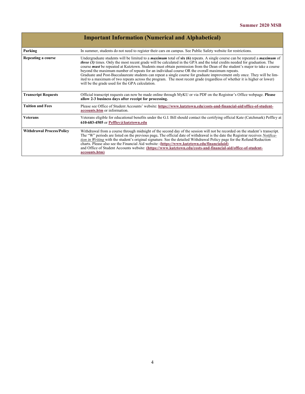|                                  | <b>Important Information (Numerical and Alphabetical)</b>                                                                                                                                                                                                                                                                                                                                                                                                                                                                                                                                                                                                                                                                                                                                                                         |
|----------------------------------|-----------------------------------------------------------------------------------------------------------------------------------------------------------------------------------------------------------------------------------------------------------------------------------------------------------------------------------------------------------------------------------------------------------------------------------------------------------------------------------------------------------------------------------------------------------------------------------------------------------------------------------------------------------------------------------------------------------------------------------------------------------------------------------------------------------------------------------|
| Parking                          | In summer, students do not need to register their cars on campus. See Public Safety website for restrictions.                                                                                                                                                                                                                                                                                                                                                                                                                                                                                                                                                                                                                                                                                                                     |
| Repeating a course               | Undergraduate students will be limited to a <i>maximum</i> total of $\sin(6)$ repeats. A single course can be repeated a <i>maximum</i> of<br><i>three (3)</i> times. Only the most recent grade will be calculated in the GPA and the total credits needed for graduation. The<br>course <i>must</i> be repeated at Kutztown. Students must obtain permission from the Dean of the student's major to take a course<br>beyond the maximum number of repeats for an individual course OR the overall maximum repeats.<br>Graduate and Post-Baccalaureate students can repeat a single course for graduate improvement only once. They will be lim-<br>ited to a maximum of two repeats across the program. The most recent grade (regardless of whether it is higher or lower)<br>will be the grade used for the GPA calculation. |
| <b>Transcript Requests</b>       | Official transcript requests can now be made online through MyKU or via PDF on the Registrar's Office webpage. Please<br>allow 2-3 business days after receipt for processing.                                                                                                                                                                                                                                                                                                                                                                                                                                                                                                                                                                                                                                                    |
| <b>Tuition and Fees</b>          | Please see Office of Student Accounts' website: https://www.kutztown.edu/costs-and-financial-aid/office-of-student-<br>accounts.htm or information.                                                                                                                                                                                                                                                                                                                                                                                                                                                                                                                                                                                                                                                                               |
| <b>Veterans</b>                  | Veterans eligible for educational benefits under the G.I. Bill should contact the certifying official Kate (Catchmark) Peffley at<br>610-683-4505 or Peffley@kutztown.edu                                                                                                                                                                                                                                                                                                                                                                                                                                                                                                                                                                                                                                                         |
| <b>Withdrawal Process/Policy</b> | Withdrawal from a course through midnight of the second day of the session will not be recorded on the student's transcript.<br>The "W" periods are listed on the previous page. The official date of withdrawal is the date the Registrar receives <i>Notifica</i> -<br>tion in Writing with the student's original signature. See the detailed Withdrawal Policy page for the Refund/Reduction<br>charts. Please also see the Financial Aid website: (https://www.kutztown.edu/financialaid)<br>and Office of Student Accounts website: (https://www.kutztown.edu/costs-and-financial-aid/office-of-student-<br>accounts.htm)                                                                                                                                                                                                   |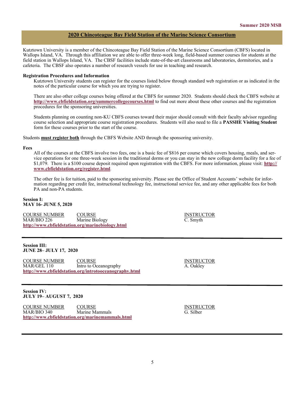## **2020 Chincoteague Bay Field Station of the Marine Science Consortium**

Kutztown University is a member of the Chincoteague Bay Field Station of the Marine Science Consortium (CBFS) located in Wallops Island, VA. Through this affiliation we are able to offer three-week long, field-based summer courses for students at the field station in Wallops Island, VA. The CBSF facilities include state-of-the-art classrooms and laboratories, dormitories, and a cafeteria. The CBSF also operates a number of research vessels for use in teaching and research.

#### **Registration Procedures and Information**

Kutztown University students can register for the courses listed below through standard web registration or as indicated in the notes of the particular course for which you are trying to register.

There are also other college courses being offered at the CBFS for summer 2020. Students should check the CBFS website at **<http://www.cbfieldstation.org/summercollegecourses.html>** to find out more about these other courses and the registration procedures for the sponsoring universities.

Students planning on counting non-KU CBFS courses toward their major should consult with their faculty advisor regarding course selection and appropriate course registration procedures. Students will also need to file a **PASSHE Visiting Student**  form for these courses prior to the start of the course.

Students **must register both** through the CBFS Website AND through the sponsoring university.

#### **Fees**

All of the courses at the CBFS involve two fees, one is a basic fee of \$816 per course which covers housing, meals, and service operations for one three-week session in the traditional dorms or you can stay in the new college dorm facility for a fee of \$1,079. There is a \$100 course deposit required upon registration with the CBFS. For more information, please visit: **[http://](http://www.cbfieldstation.org/register.html) [www.cbfieldstation.org/register.html](http://www.cbfieldstation.org/register.html)**.

The other fee is for tuition, paid to the sponsoring university. Please see the Office of Student Accounts' website for information regarding per credit fee, instructional technology fee, instructional service fee, and any other applicable fees for both PA and non-PA students.

#### **Session I: MAY 16- JUNE 5, 2020**

COURSE NUMBER COURSE INSTRUCTOR MAR/BIO 226 Marine Biology C. Smyth **<http://www.cbfieldstation.org/marinebiology.html>**

#### **Session III: JUNE 28– JULY 17, 2020**

COURSE NUMBER COURSE COURSE INSTRUCTOR<br>
MAR/GEL 110 Intro to Oceanography A. Oakley Intro to Oceanography **<http://www.cbfieldstation.org/introtooceanography.html>**

## **Session IV: JULY 19– AUGUST 7, 2020**

COURSE NUMBER COURSE COURSE INSTRUCTOR MAR/BIO 340 Marine Mammals G. Silber **<http://www.cbfieldstation.org/marinemammals.html>**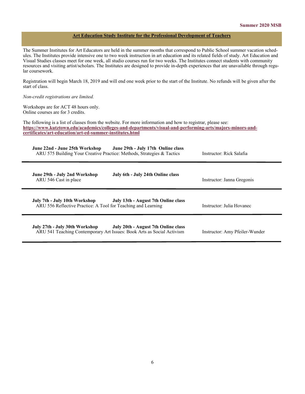## **Art Education Study Institute for the Professional Development of Teachers**

The Summer Institutes for Art Educators are held in the summer months that correspond to Public School summer vacation schedules. The Institutes provide intensive one to two week instruction in art education and its related fields of study. Art Education and Visual Studies classes meet for one week, all studio courses run for two weeks. The Institutes connect students with community resources and visiting artist/scholars. The Institutes are designed to provide in-depth experiences that are unavailable through regular coursework.

Registration will begin March 18, 2019 and will end one week prior to the start of the Institute. No refunds will be given after the start of class.

#### *Non-credit registrations are limited.*

Workshops are for ACT 48 hours only. Online courses are for 3 credits.

The following is a list of classes from the website. For more information and how to registrar, please see: **[https://www.kutztown.edu/academics/colleges](https://www.kutztown.edu/academics/colleges-and-departments/visual-and-performing-arts/majors-minors-and-certificates/art-education/art-ed-summer-institutes.html)-and-departments/visual-and-performing-arts/majors-minors-and[certificates/art](https://www.kutztown.edu/academics/colleges-and-departments/visual-and-performing-arts/majors-minors-and-certificates/art-education/art-ed-summer-institutes.html)-education/art-ed-summer-institutes.html**

| June 22nd - June 25th Workshop<br>June 29th - July 17th Online class<br>ARU 575 Building Your Creative Practice: Methods, Strategies & Tactics  | Instructor: Rick Salafia       |
|-------------------------------------------------------------------------------------------------------------------------------------------------|--------------------------------|
| July 6th - July 24th Online class<br>June 29th - July 2nd Workshop<br>ARU 546 Cast in place                                                     | Instructor: Janna Gregonis     |
| July 7th - July 10th Workshop<br>July 13th - August 7th Online class<br>ARU 556 Reflective Practice: A Tool for Teaching and Learning           | Instructor: Julia Hovanec      |
| July 27th - July 30th Workshop<br>July 20th - August 7th Online class<br>ARU 541 Teaching Contemporary Art Issues: Book Arts as Social Activism | Instructor: Amy Pfeiler-Wunder |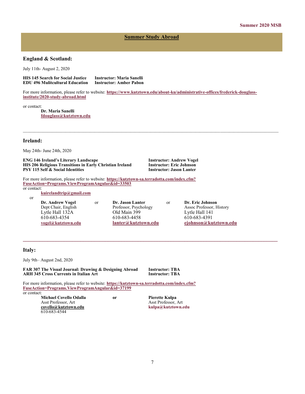## **Summer Study Abroad**

## **England & Scotland:**

July 11th- August 2, 2020

**HIS 145 Search for Social Justice Instructor: Maria Sanelli EDU 496 Mulitcultural Education** 

For more information, please refer to website: **[https://www.kutztown.edu/about](https://www.kutztown.edu/about-ku/administrative-offices/frederick-douglass-institute/2020-study-abroad.html)-ku/administrative-offices/frederick-douglass[institute/2020](https://www.kutztown.edu/about-ku/administrative-offices/frederick-douglass-institute/2020-study-abroad.html)-study-abroad.html**

or contact:

**Dr. Maria Sanelli [fdouglass@kutztown.edu](mailto:fdouglass@kutztown.edu)**

## **Ireland:**

May 24th- June 24th, 2020

**ENG 146 Ireland's Literary Landscape Instructor: Andrew Vogel HIS 206 Religious Transitions in Early Christian Ireland Instructor: Eric Johnson PSY 115 Self & Social Identities** 

For more information, please refer to website: **https://kutztown-[sa.terradotta.com/index.cfm?](https://kutztown-sa.terradotta.com/index.cfm?FuseAction=Programs.ViewProgramAngular&id=33503) [FuseAction=Programs.ViewProgramAngular&id=33503](https://kutztown-sa.terradotta.com/index.cfm?FuseAction=Programs.ViewProgramAngular&id=33503)**

or contact:

or

**[kuirelandtrip@gmail.com](mailto:kuirelandtrip@gmail.com)**

**Dr. Andrew Vogel** or **Dr. Jason Lanter** or **Dr. Eric Johnson** Lytle Hall 132A Old Main 399 Lytle Hall 141 610-683-4354 610-683-4458 610-683-4391

**\_\_\_\_\_\_\_\_\_\_\_\_\_\_\_\_\_\_\_\_\_\_\_\_\_\_\_\_\_\_\_\_\_\_\_\_\_\_\_\_\_\_\_\_\_\_\_\_\_\_\_\_\_\_\_\_\_\_\_\_\_\_\_\_\_\_\_\_\_\_\_\_\_\_\_\_\_\_\_\_\_\_\_\_\_\_\_\_\_\_\_\_\_**

Assoc Professor, History **[vogel@kutztown.edu](mailto:vogel@kutztown.edu) [lanter@kutztown.edu](mailto:lanter@kutztown.edu?subject=Study%20Abroad%20Program) [ejohnson@kutztown.edu](mailto:ejohnson@kutztown.edu?subject=Study%20Abroad%20Program)**

## **Italy:**

July 9th– August 2nd, 2020

**FAR 307 The Visual Journal: Drawing & Designing Abroad Instructor: TBA ARH 345 Cross Currents in Italian Art** 

For more information, please refer to website: **https://kutztown-[sa.terradotta.com/index.cfm?](https://kutztown-sa.terradotta.com/index.cfm?FuseAction=Programs.ViewProgramAngular&id=37199) [FuseAction=Programs.ViewProgramAngular&id=37199](https://kutztown-sa.terradotta.com/index.cfm?FuseAction=Programs.ViewProgramAngular&id=37199)** or contact:

**Michael Covello Odalla or Pierette Kulpa** Asst Professor, Art Asst Professor, Art **[covello@kutztown.edu](mailto:covello@kutztown.edu?subject=Study%20Abroad) kulpa@kutztown.edu**  610-683-4544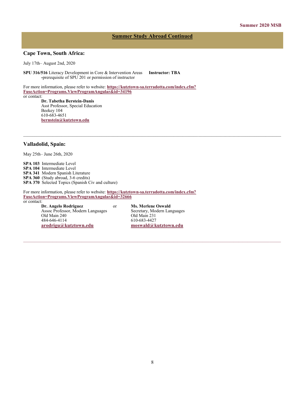## **Summer Study Abroad Continued**

## **Cape Town, South Africa:**

July 17th– August 2nd, 2020

**SPU 316/516** Literacy Development in Core & Intervention Areas **Instructor: TBA -**prerequisite of SPU 201 or permission of instructor

For more information, please refer to website: **https://kutztown-[sa.terradotta.com/index.cfm?](https://kutztown-sa.terradotta.com/index.cfm?FuseAction=Programs.ViewProgramAngular&id=34196) [FuseAction=Programs.ViewProgramAngular&id=34196](https://kutztown-sa.terradotta.com/index.cfm?FuseAction=Programs.ViewProgramAngular&id=34196)** or contact:

> **Dr. Tabetha Berstein-Danis** Asst Professor, Special Education Beekey 104 610-683-4651 **[bernstein@kutztown.edu](mailto:bernstein@kutztown.edu)**

#### **Valladolid, Spain:**

May 25th– June 26th, 2020

**SPA 103** Intermediate Level **SPA 104** Intermediate Level **SPA 341** Modern Spanish Literature **SPA 360** (Study abroad, 3-6 credits) **SPA 370** Selected Topics (Spanish Civ and culture)

For more information, please refer to website: **https://kutztown-[sa.terradotta.com/index.cfm?](https://kutztown-sa.terradotta.com/index.cfm?FuseAction=Programs.ViewProgramAngular&id=32666) [FuseAction=Programs.ViewProgramAngular&id=32666](https://kutztown-sa.terradotta.com/index.cfm?FuseAction=Programs.ViewProgramAngular&id=32666)**

or contact:

Assoc Professor, Modern Languages Secretary, Modern Languages Secretary, Modern Languages Secretary, Modern Languages Secretary, Modern Languages Secretary, Modern Languages Secretary, Modern Languages Secretary, Modern La Old Main 240 484-646-4114 610-683-4427<br> **arodrigu@kutztown.edu** moswald@k

**Dr. Angelo Rodriguez** or **Ms. Merlene Oswald**<br>
Assoc Professor, Modern Languages Secretary, Modern Languages **[arodrigu@kutztown.edu](mailto:arodrigu@kutztown.edu) [moswald@kutztown.edu](mailto:moswald@kutztown.edu)**